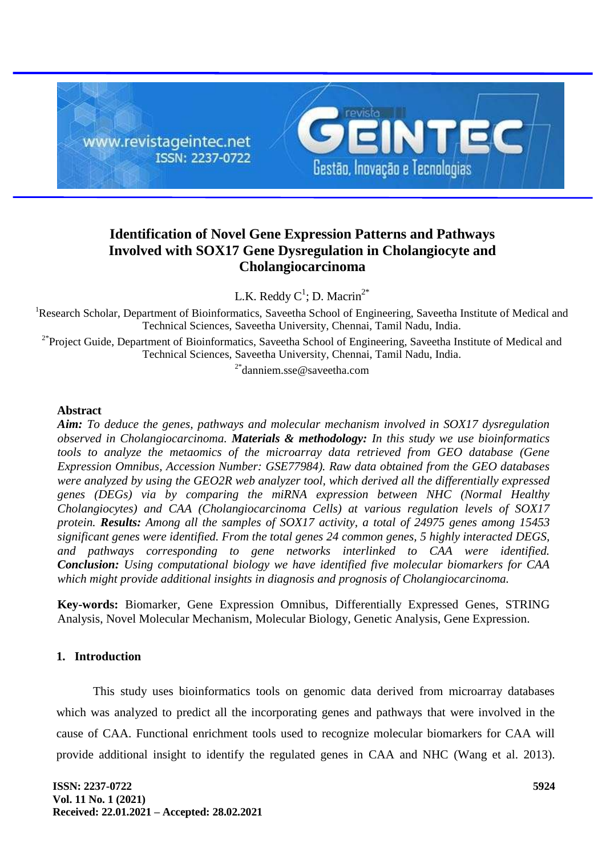

# **Identification of Novel Gene Expression Patterns and Pathways Involved with SOX17 Gene Dysregulation in Cholangiocyte and Cholangiocarcinoma**

L.K. Reddy  $C^1$ ; D. Macrin<sup>2\*</sup>

<sup>1</sup>Research Scholar, Department of Bioinformatics, Saveetha School of Engineering, Saveetha Institute of Medical and Technical Sciences, Saveetha University, Chennai, Tamil Nadu, India.

<sup>2\*</sup>Project Guide, Department of Bioinformatics, Saveetha School of Engineering, Saveetha Institute of Medical and Technical Sciences, Saveetha University, Chennai, Tamil Nadu, India.

2\*danniem.sse@saveetha.com

### **Abstract**

*Aim: To deduce the genes, pathways and molecular mechanism involved in SOX17 dysregulation observed in Cholangiocarcinoma. Materials & methodology: In this study we use bioinformatics tools to analyze the metaomics of the microarray data retrieved from GEO database (Gene Expression Omnibus, Accession Number: GSE77984). Raw data obtained from the GEO databases were analyzed by using the GEO2R web analyzer tool, which derived all the differentially expressed genes (DEGs) via by comparing the miRNA expression between NHC (Normal Healthy Cholangiocytes) and CAA (Cholangiocarcinoma Cells) at various regulation levels of SOX17 protein. Results: Among all the samples of SOX17 activity, a total of 24975 genes among 15453 significant genes were identified. From the total genes 24 common genes, 5 highly interacted DEGS, and pathways corresponding to gene networks interlinked to CAA were identified. Conclusion: Using computational biology we have identified five molecular biomarkers for CAA which might provide additional insights in diagnosis and prognosis of Cholangiocarcinoma.*

**Key-words:** Biomarker, Gene Expression Omnibus, Differentially Expressed Genes, STRING Analysis, Novel Molecular Mechanism, Molecular Biology, Genetic Analysis, Gene Expression.

### **1. Introduction**

This study uses bioinformatics tools on genomic data derived from microarray databases which was analyzed to predict all the incorporating genes and pathways that were involved in the cause of CAA. Functional enrichment tools used to recognize molecular biomarkers for CAA will provide additional insight to identify the regulated genes in CAA and NHC [\(Wang et al. 2013\).](https://paperpile.com/c/DOaQcX/Poe2)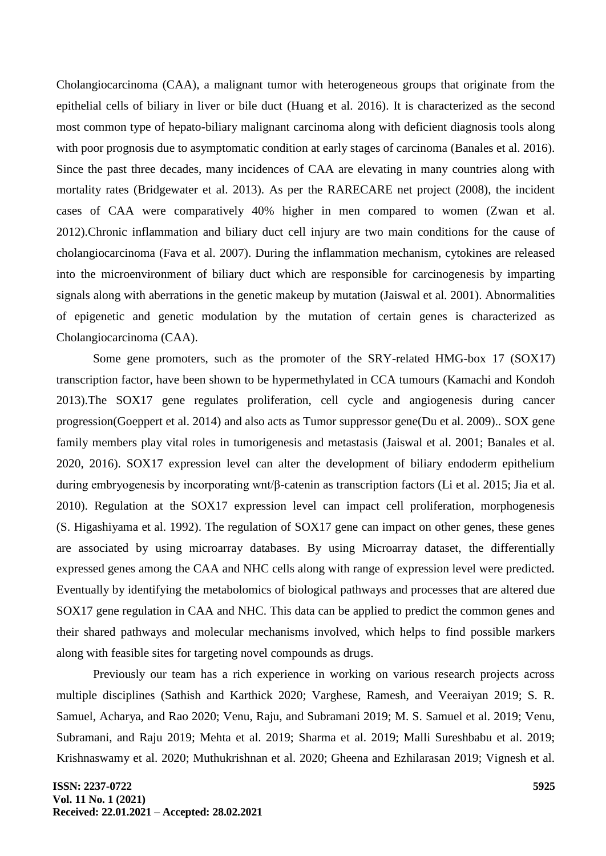Cholangiocarcinoma (CAA), a malignant tumor with heterogeneous groups that originate from the epithelial cells of biliary in liver or bile duct [\(Huang et al. 2016\).](https://paperpile.com/c/DOaQcX/xwYP) It is characterized as the second most common type of hepato-biliary malignant carcinoma along with deficient diagnosis tools along with poor prognosis due to asymptomatic condition at early stages of carcinoma [\(Banales et al. 2016\).](https://paperpile.com/c/DOaQcX/P7Kc) Since the past three decades, many incidences of CAA are elevating in many countries along with mortality rates [\(Bridgewater et al. 2013\).](https://paperpile.com/c/DOaQcX/VUvY) As per the RARECARE net project (2008), the incident cases of CAA were comparatively 40% higher in men compared to women [\(Zwan et al.](https://paperpile.com/c/DOaQcX/yrcM)  [2012\).](https://paperpile.com/c/DOaQcX/yrcM)Chronic inflammation and biliary duct cell injury are two main conditions for the cause of cholangiocarcinoma [\(Fava et al. 2007\).](https://paperpile.com/c/DOaQcX/Twg3) During the inflammation mechanism, cytokines are released into the microenvironment of biliary duct which are responsible for carcinogenesis by imparting signals along with aberrations in the genetic makeup by mutation [\(Jaiswal et al. 2001\).](https://paperpile.com/c/DOaQcX/BPZ8) Abnormalities of epigenetic and genetic modulation by the mutation of certain genes is characterized as Cholangiocarcinoma (CAA).

Some gene promoters, such as the promoter of the SRY-related HMG-box 17 (SOX17) transcription factor, have been shown to be hypermethylated in CCA tumours [\(Kamachi and Kondoh](https://paperpile.com/c/DOaQcX/dlAH)  [2013\).](https://paperpile.com/c/DOaQcX/dlAH)The SOX17 gene regulates proliferation, cell cycle and angiogenesis during cancer progressio[n\(Goeppert et al. 2014\)](https://paperpile.com/c/DOaQcX/vtEg) and also acts as Tumor suppressor gen[e\(Du et al. 2009\).](https://paperpile.com/c/DOaQcX/KIJL). SOX gene family members play vital roles in tumorigenesis and metastasis [\(Jaiswal et al. 2001; Banales et al.](https://paperpile.com/c/DOaQcX/BPZ8+RPP7+P7Kc)  [2020, 2016\).](https://paperpile.com/c/DOaQcX/BPZ8+RPP7+P7Kc) SOX17 expression level can alter the development of biliary endoderm epithelium during embryogenesis by incorporating wnt/β-catenin as transcription factors [\(Li et al. 2015; Jia et al.](https://paperpile.com/c/DOaQcX/eOKK+u62Q)  [2010\).](https://paperpile.com/c/DOaQcX/eOKK+u62Q) Regulation at the SOX17 expression level can impact cell proliferation, morphogenesis [\(S. Higashiyama et al. 1992\).](https://paperpile.com/c/DOaQcX/9pm4) The regulation of SOX17 gene can impact on other genes, these genes are associated by using microarray databases. By using Microarray dataset, the differentially expressed genes among the CAA and NHC cells along with range of expression level were predicted. Eventually by identifying the metabolomics of biological pathways and processes that are altered due SOX17 gene regulation in CAA and NHC. This data can be applied to predict the common genes and their shared pathways and molecular mechanisms involved, which helps to find possible markers along with feasible sites for targeting novel compounds as drugs.

Previously our team has a rich experience in working on various research projects across multiple disciplines [\(Sathish and Karthick 2020; Varghese, Ramesh, and Veeraiyan 2019; S. R.](https://paperpile.com/c/DOaQcX/zGO0d+fEsW6+tAmVW+IhKSb+kIdCL+RMBCl+tlhBa+wopV2+aVdhP+OnwcJ+tKLDo+cU4wz+D0u2G+hNlfr+Gqb2V+ZbNQk)  [Samuel, Acharya, and Rao 2020; Venu, Raju, and Subramani 2019; M. S. Samuel et al. 2019; Venu,](https://paperpile.com/c/DOaQcX/zGO0d+fEsW6+tAmVW+IhKSb+kIdCL+RMBCl+tlhBa+wopV2+aVdhP+OnwcJ+tKLDo+cU4wz+D0u2G+hNlfr+Gqb2V+ZbNQk)  [Subramani, and Raju 2019; Mehta et al. 2019; Sharma et al. 2019; Malli Sureshbabu et al. 2019;](https://paperpile.com/c/DOaQcX/zGO0d+fEsW6+tAmVW+IhKSb+kIdCL+RMBCl+tlhBa+wopV2+aVdhP+OnwcJ+tKLDo+cU4wz+D0u2G+hNlfr+Gqb2V+ZbNQk)  [Krishnaswamy et al. 2020; Muthukrishnan et al. 2020; Gheena and Ezhilarasan 2019; Vignesh et al.](https://paperpile.com/c/DOaQcX/zGO0d+fEsW6+tAmVW+IhKSb+kIdCL+RMBCl+tlhBa+wopV2+aVdhP+OnwcJ+tKLDo+cU4wz+D0u2G+hNlfr+Gqb2V+ZbNQk)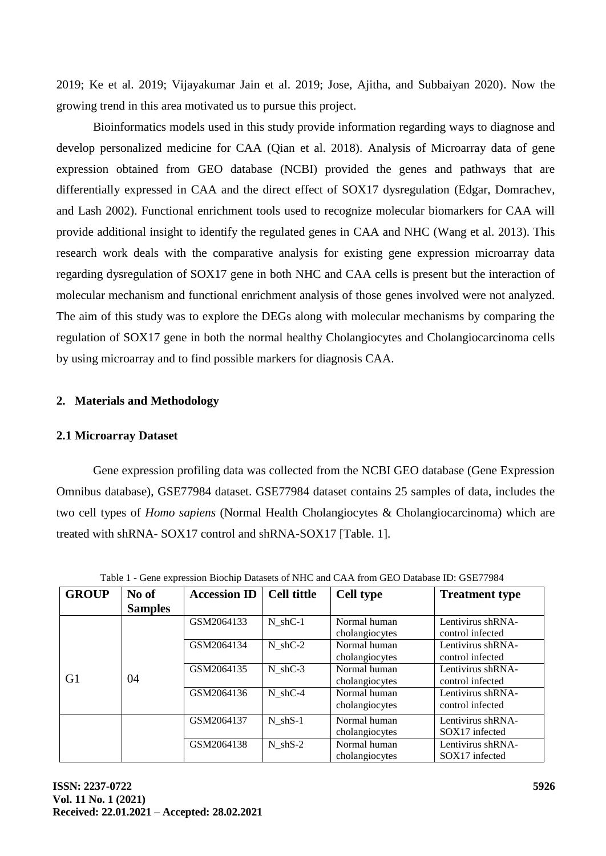[2019; Ke et al. 2019; Vijayakumar Jain et al. 2019; Jose, Ajitha, and Subbaiyan 2020\).](https://paperpile.com/c/DOaQcX/zGO0d+fEsW6+tAmVW+IhKSb+kIdCL+RMBCl+tlhBa+wopV2+aVdhP+OnwcJ+tKLDo+cU4wz+D0u2G+hNlfr+Gqb2V+ZbNQk) Now the growing trend in this area motivated us to pursue this project.

Bioinformatics models used in this study provide information regarding ways to diagnose and develop personalized medicine for CAA [\(Qian et al. 2018\).](https://paperpile.com/c/DOaQcX/rjR5) Analysis of Microarray data of gene expression obtained from GEO database (NCBI) provided the genes and pathways that are differentially expressed in CAA and the direct effect of SOX17 dysregulation [\(Edgar, Domrachev,](https://paperpile.com/c/DOaQcX/hqYa)  [and Lash 2002\).](https://paperpile.com/c/DOaQcX/hqYa) Functional enrichment tools used to recognize molecular biomarkers for CAA will provide additional insight to identify the regulated genes in CAA and NHC [\(Wang et al. 2013\).](https://paperpile.com/c/DOaQcX/Poe2) This research work deals with the comparative analysis for existing gene expression microarray data regarding dysregulation of SOX17 gene in both NHC and CAA cells is present but the interaction of molecular mechanism and functional enrichment analysis of those genes involved were not analyzed. The aim of this study was to explore the DEGs along with molecular mechanisms by comparing the regulation of SOX17 gene in both the normal healthy Cholangiocytes and Cholangiocarcinoma cells by using microarray and to find possible markers for diagnosis CAA.

### **2. Materials and Methodology**

### **2.1 Microarray Dataset**

Gene expression profiling data was collected from the NCBI GEO database (Gene Expression Omnibus database), GSE77984 dataset. GSE77984 dataset contains 25 samples of data, includes the two cell types of *Homo sapiens* (Normal Health Cholangiocytes & Cholangiocarcinoma) which are treated with shRNA- SOX17 control and shRNA-SOX17 [Table. 1].

| <b>GROUP</b> | No of          | <b>Accession ID</b> | <b>Cell tittle</b> | <b>Cell type</b>               | <b>Treatment type</b>                 |
|--------------|----------------|---------------------|--------------------|--------------------------------|---------------------------------------|
|              | <b>Samples</b> |                     |                    |                                |                                       |
|              |                | GSM2064133          | $N$ shC-1          | Normal human<br>cholangiocytes | Lentivirus shRNA-<br>control infected |
| G1           | 04             | GSM2064134          | $N$ shC-2          | Normal human<br>cholangiocytes | Lentivirus shRNA-<br>control infected |
|              |                | GSM2064135          | $N$ shC-3          | Normal human<br>cholangiocytes | Lentivirus shRNA-<br>control infected |
|              |                | GSM2064136          | N shC-4            | Normal human<br>cholangiocytes | Lentivirus shRNA-<br>control infected |
|              |                | GSM2064137          | $N$ shS-1          | Normal human<br>cholangiocytes | Lentivirus shRNA-<br>SOX17 infected   |
|              |                | GSM2064138          | $N$ shS-2          | Normal human<br>cholangiocytes | Lentivirus shRNA-<br>SOX17 infected   |

Table 1 - Gene expression Biochip Datasets of NHC and CAA from GEO Database ID: GSE77984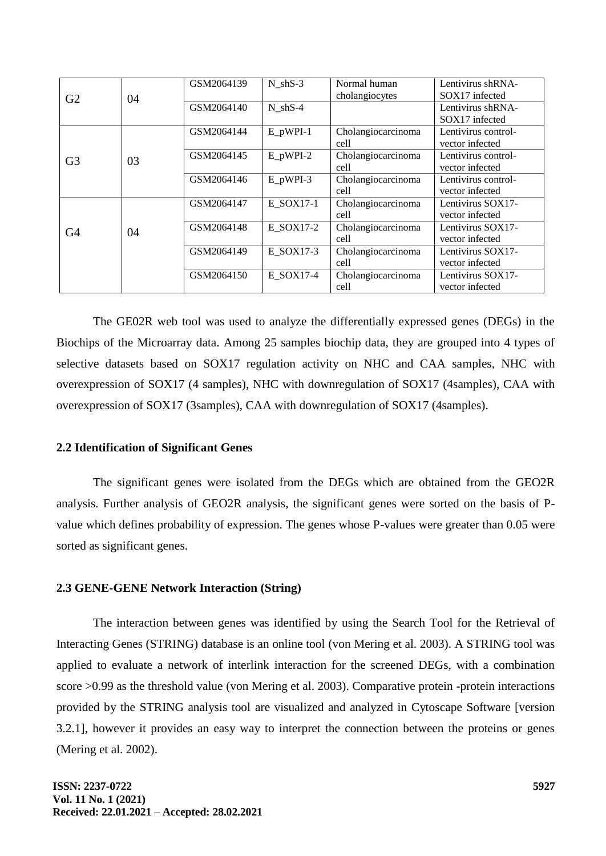| G2<br>G <sub>3</sub> | 04<br>03 | GSM2064139 | $N_{shS-3}$ | Normal human<br>cholangiocytes | Lentivirus shRNA-<br>SOX17 infected    |
|----------------------|----------|------------|-------------|--------------------------------|----------------------------------------|
|                      |          | GSM2064140 | $N$ shS-4   |                                | Lentivirus shRNA-<br>SOX17 infected    |
|                      |          | GSM2064144 | $E_pWPI-1$  | Cholangiocarcinoma<br>cell     | Lentivirus control-<br>vector infected |
|                      |          | GSM2064145 | $E_pWPI-2$  | Cholangiocarcinoma<br>cell     | Lentivirus control-<br>vector infected |
|                      |          | GSM2064146 | $E_pWPI-3$  | Cholangiocarcinoma<br>cell     | Lentivirus control-<br>vector infected |
| G4                   | 04       | GSM2064147 | E SOX17-1   | Cholangiocarcinoma<br>cell     | Lentivirus SOX17-<br>vector infected   |
|                      |          | GSM2064148 | E SOX17-2   | Cholangiocarcinoma<br>cell     | Lentivirus SOX17-<br>vector infected   |
|                      |          | GSM2064149 | E SOX17-3   | Cholangiocarcinoma<br>cell     | Lentivirus SOX17-<br>vector infected   |
|                      |          | GSM2064150 | E SOX17-4   | Cholangiocarcinoma<br>cell     | Lentivirus SOX17-<br>vector infected   |

The GE02R web tool was used to analyze the differentially expressed genes (DEGs) in the Biochips of the Microarray data. Among 25 samples biochip data, they are grouped into 4 types of selective datasets based on SOX17 regulation activity on NHC and CAA samples, NHC with overexpression of SOX17 (4 samples), NHC with downregulation of SOX17 (4samples), CAA with overexpression of SOX17 (3samples), CAA with downregulation of SOX17 (4samples).

### **2.2 Identification of Significant Genes**

The significant genes were isolated from the DEGs which are obtained from the GEO2R analysis. Further analysis of GEO2R analysis, the significant genes were sorted on the basis of Pvalue which defines probability of expression. The genes whose P-values were greater than 0.05 were sorted as significant genes.

#### **2.3 GENE-GENE Network Interaction (String)**

The interaction between genes was identified by using the Search Tool for the Retrieval of Interacting Genes (STRING) database is an online tool [\(von Mering et al. 2003\).](https://paperpile.com/c/DOaQcX/f71N) A STRING tool was applied to evaluate a network of interlink interaction for the screened DEGs, with a combination score >0.99 as the threshold value [\(von Mering et al. 2003\).](https://paperpile.com/c/DOaQcX/f71N) Comparative protein -protein interactions provided by the STRING analysis tool are visualized and analyzed in Cytoscape Software [version 3.2.1], however it provides an easy way to interpret the connection between the proteins or genes [\(Mering et al. 2002\).](https://paperpile.com/c/DOaQcX/iM3K)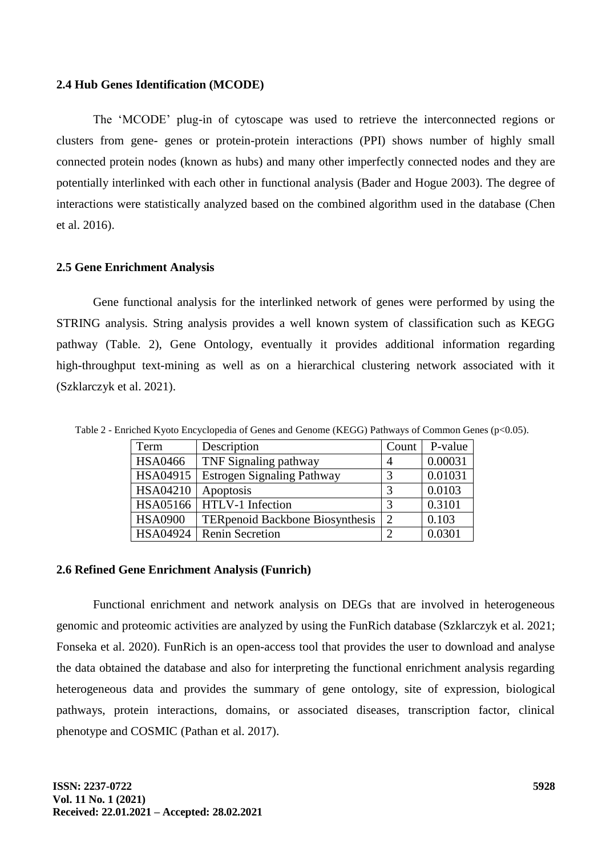#### **2.4 Hub Genes Identification (MCODE)**

The "MCODE" plug-in of cytoscape was used to retrieve the interconnected regions or clusters from gene- genes or protein-protein interactions (PPI) shows number of highly small connected protein nodes (known as hubs) and many other imperfectly connected nodes and they are potentially interlinked with each other in functional analysis (Bader [and Hogue 2003\).](https://paperpile.com/c/DOaQcX/fGQR) The degree of interactions were statistically analyzed based on the combined algorithm used in the database [\(Chen](https://paperpile.com/c/DOaQcX/BF1U)  [et al. 2016\).](https://paperpile.com/c/DOaQcX/BF1U)

#### **2.5 Gene Enrichment Analysis**

Gene functional analysis for the interlinked network of genes were performed by using the STRING analysis. String analysis provides a well known system of classification such as KEGG pathway (Table. 2), Gene Ontology, eventually it provides additional information regarding high-throughput text-mining as well as on a hierarchical clustering network associated with it [\(Szklarczyk et al. 2021\).](https://paperpile.com/c/DOaQcX/AOJm)

| Term           | Description                            | Count          | P-value |
|----------------|----------------------------------------|----------------|---------|
| <b>HSA0466</b> | TNF Signaling pathway                  |                | 0.00031 |
| HSA04915       | <b>Estrogen Signaling Pathway</b>      | 3              | 0.01031 |
| HSA04210       | Apoptosis                              | 3              | 0.0103  |
| HSA05166       | <b>HTLV-1</b> Infection                | 3              | 0.3101  |
| <b>HSA0900</b> | <b>TERpenoid Backbone Biosynthesis</b> | $\overline{2}$ | 0.103   |
| HSA04924       | <b>Renin Secretion</b>                 | ി              | 0.0301  |

Table 2 - Enriched Kyoto Encyclopedia of Genes and Genome (KEGG) Pathways of Common Genes (p<0.05).

#### **2.6 Refined Gene Enrichment Analysis (Funrich)**

Functional enrichment and network analysis on DEGs that are involved in heterogeneous genomic and proteomic activities are analyzed by using the FunRich database [\(Szklarczyk et al. 2021;](https://paperpile.com/c/DOaQcX/AOJm+KeNp)  [Fonseka et al. 2020\).](https://paperpile.com/c/DOaQcX/AOJm+KeNp) FunRich is an open-access tool that provides the user to download and analyse the data obtained the database and also for interpreting the functional enrichment analysis regarding heterogeneous data and provides the summary of gene ontology, site of expression, biological pathways, protein interactions, domains, or associated diseases, transcription factor, clinical phenotype and COSMIC [\(Pathan et al. 2017\).](https://paperpile.com/c/DOaQcX/8S7n)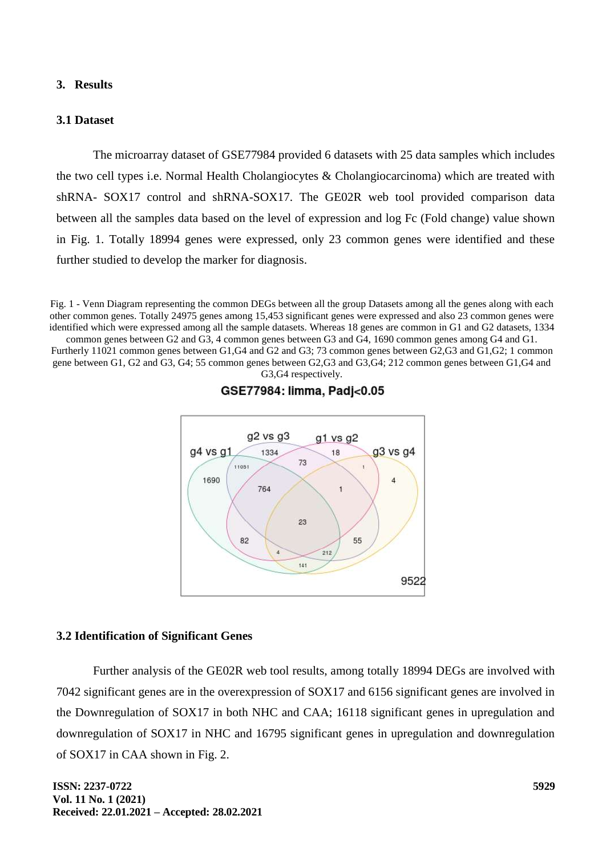#### **3. Results**

#### **3.1 Dataset**

The microarray dataset of GSE77984 provided 6 datasets with 25 data samples which includes the two cell types i.e. Normal Health Cholangiocytes & Cholangiocarcinoma) which are treated with shRNA- SOX17 control and shRNA-SOX17. The GE02R web tool provided comparison data between all the samples data based on the level of expression and log Fc (Fold change) value shown in Fig. 1. Totally 18994 genes were expressed, only 23 common genes were identified and these further studied to develop the marker for diagnosis.

Fig. 1 - Venn Diagram representing the common DEGs between all the group Datasets among all the genes along with each other common genes. Totally 24975 genes among 15,453 significant genes were expressed and also 23 common genes were identified which were expressed among all the sample datasets. Whereas 18 genes are common in G1 and G2 datasets, 1334

common genes between G2 and G3, 4 common genes between G3 and G4, 1690 common genes among G4 and G1. Furtherly 11021 common genes between G1,G4 and G2 and G3; 73 common genes between G2,G3 and G1,G2; 1 common gene between G1, G2 and G3, G4; 55 common genes between G2,G3 and G3,G4; 212 common genes between G1,G4 and G3,G4 respectively.



GSE77984: limma, Padj<0.05

#### **3.2 Identification of Significant Genes**

Further analysis of the GE02R web tool results, among totally 18994 DEGs are involved with 7042 significant genes are in the overexpression of SOX17 and 6156 significant genes are involved in the Downregulation of SOX17 in both NHC and CAA; 16118 significant genes in upregulation and downregulation of SOX17 in NHC and 16795 significant genes in upregulation and downregulation of SOX17 in CAA shown in Fig. 2.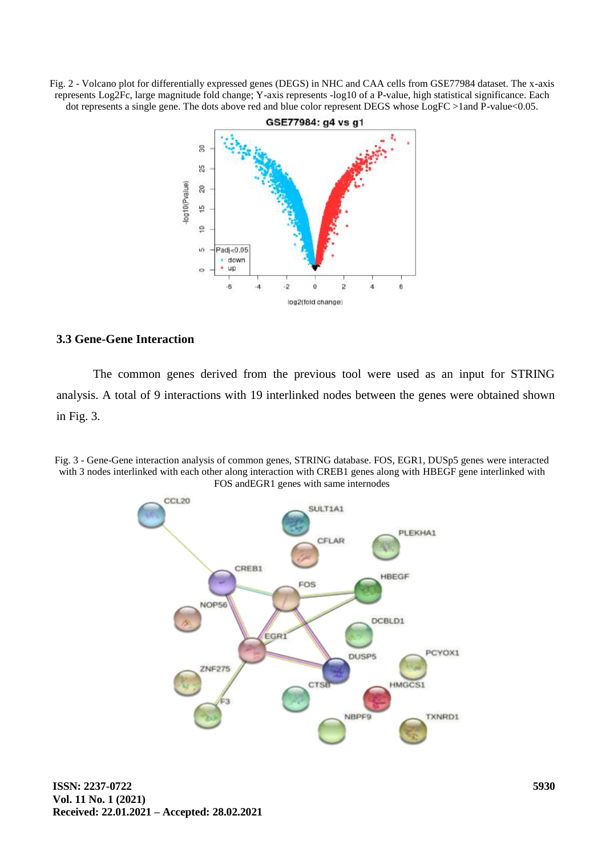Fig. 2 - Volcano plot for differentially expressed genes (DEGS) in NHC and CAA cells from GSE77984 dataset. The x-axis represents Log2Fc, large magnitude fold change; Y-axis represents -log10 of a P-value, high statistical significance. Each dot represents a single gene. The dots above red and blue color represent DEGS whose LogFC >1and P-value<0.05.



# **3.3 Gene-Gene Interaction**

The common genes derived from the previous tool were used as an input for STRING analysis. A total of 9 interactions with 19 interlinked nodes between the genes were obtained shown in Fig. 3.

Fig. 3 - Gene-Gene interaction analysis of common genes, STRING database. FOS, EGR1, DUSp5 genes were interacted with 3 nodes interlinked with each other along interaction with CREB1 genes along with HBEGF gene interlinked with FOS andEGR1 genes with same internodes

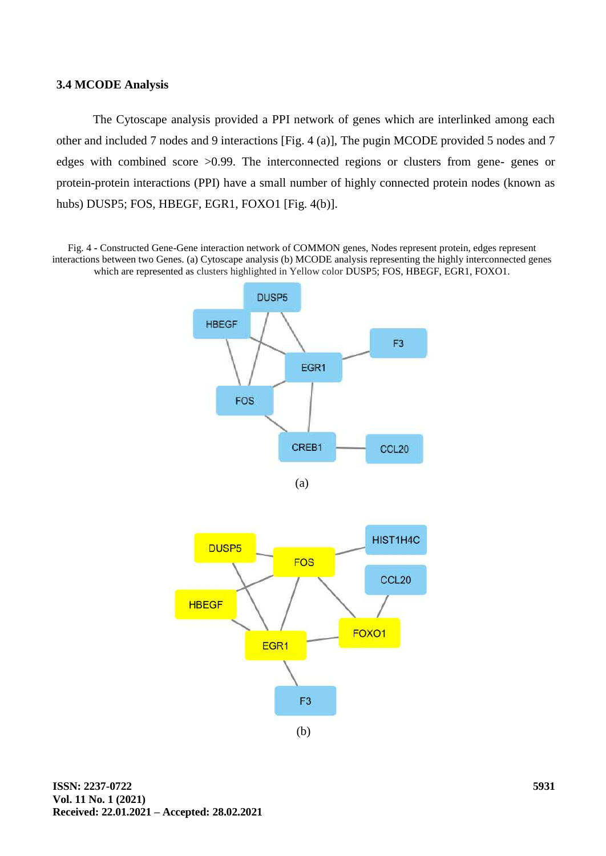#### **3.4 MCODE Analysis**

The Cytoscape analysis provided a PPI network of genes which are interlinked among each other and included 7 nodes and 9 interactions [Fig. 4 (a)], The pugin MCODE provided 5 nodes and 7 edges with combined score >0.99. The interconnected regions or clusters from gene- genes or protein-protein interactions (PPI) have a small number of highly connected protein nodes (known as hubs) DUSP5; FOS, HBEGF, EGR1, FOXO1 [Fig. 4(b)].

Fig. 4 **-** Constructed Gene-Gene interaction network of COMMON genes, Nodes represent protein, edges represent interactions between two Genes. (a) Cytoscape analysis (b) MCODE analysis representing the highly interconnected genes which are represented as clusters highlighted in Yellow color DUSP5; FOS, HBEGF, EGR1, FOXO1.



(a)

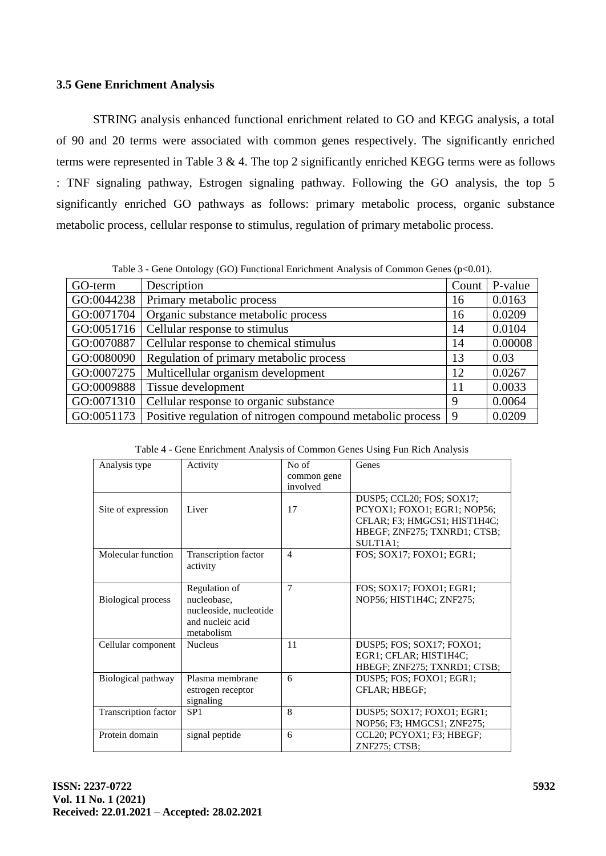## **3.5 Gene Enrichment Analysis**

STRING analysis enhanced functional enrichment related to GO and KEGG analysis, a total of 90 and 20 terms were associated with common genes respectively. The significantly enriched terms were represented in Table 3 & 4. The top 2 significantly enriched KEGG terms were as follows : TNF signaling pathway, Estrogen signaling pathway. Following the GO analysis, the top 5 significantly enriched GO pathways as follows: primary metabolic process, organic substance metabolic process, cellular response to stimulus, regulation of primary metabolic process.

Table 3 - Gene Ontology (GO) Functional Enrichment Analysis of Common Genes (p<0.01).

| GO-term    | Description                                                | Count | P-value |
|------------|------------------------------------------------------------|-------|---------|
| GO:0044238 | Primary metabolic process                                  | 16    | 0.0163  |
| GO:0071704 | Organic substance metabolic process                        | 16    | 0.0209  |
| GO:0051716 | Cellular response to stimulus                              | 14    | 0.0104  |
| GO:0070887 | Cellular response to chemical stimulus                     | 14    | 0.00008 |
| GO:0080090 | Regulation of primary metabolic process                    | 13    | 0.03    |
| GO:0007275 | Multicellular organism development                         | 12    | 0.0267  |
| GO:0009888 | Tissue development                                         | 11    | 0.0033  |
| GO:0071310 | Cellular response to organic substance                     | 9     | 0.0064  |
| GO:0051173 | Positive regulation of nitrogen compound metabolic process | 9     | 0.0209  |

Table 4 - Gene Enrichment Analysis of Common Genes Using Fun Rich Analysis

| Analysis type             | Activity               | No of          | Genes                        |
|---------------------------|------------------------|----------------|------------------------------|
|                           |                        | common gene    |                              |
|                           |                        | involved       |                              |
|                           |                        |                | DUSP5; CCL20; FOS; SOX17;    |
| Site of expression        | Liver                  | 17             | PCYOX1; FOXO1; EGR1; NOP56;  |
|                           |                        |                | CFLAR; F3; HMGCS1; HIST1H4C; |
|                           |                        |                | HBEGF; ZNF275; TXNRD1; CTSB; |
|                           |                        |                | SULTIA1;                     |
| Molecular function        | Transcription factor   | $\overline{4}$ | FOS; SOX17; FOXO1; EGR1;     |
|                           | activity               |                |                              |
|                           |                        |                |                              |
|                           | Regulation of          | 7              | FOS; SOX17; FOXO1; EGR1;     |
| <b>Biological process</b> | nucleobase,            |                | NOP56; HIST1H4C; ZNF275;     |
|                           | nucleoside, nucleotide |                |                              |
|                           | and nucleic acid       |                |                              |
|                           | metabolism             |                |                              |
| Cellular component        | <b>Nucleus</b>         | 11             | DUSP5; FOS; SOX17; FOXO1;    |
|                           |                        |                | EGR1; CFLAR; HIST1H4C;       |
|                           |                        |                | HBEGF; ZNF275; TXNRD1; CTSB; |
| Biological pathway        | Plasma membrane        | 6              | DUSP5; FOS; FOXO1; EGR1;     |
|                           | estrogen receptor      |                | CFLAR; HBEGF;                |
|                           | signaling              |                |                              |
| Transcription factor      | SP <sub>1</sub>        | 8              | DUSP5; SOX17; FOXO1; EGR1;   |
|                           |                        |                | NOP56; F3; HMGCS1; ZNF275;   |
| Protein domain            | signal peptide         | 6              | CCL20; PCYOX1; F3; HBEGF;    |
|                           |                        |                | ZNF275; CTSB;                |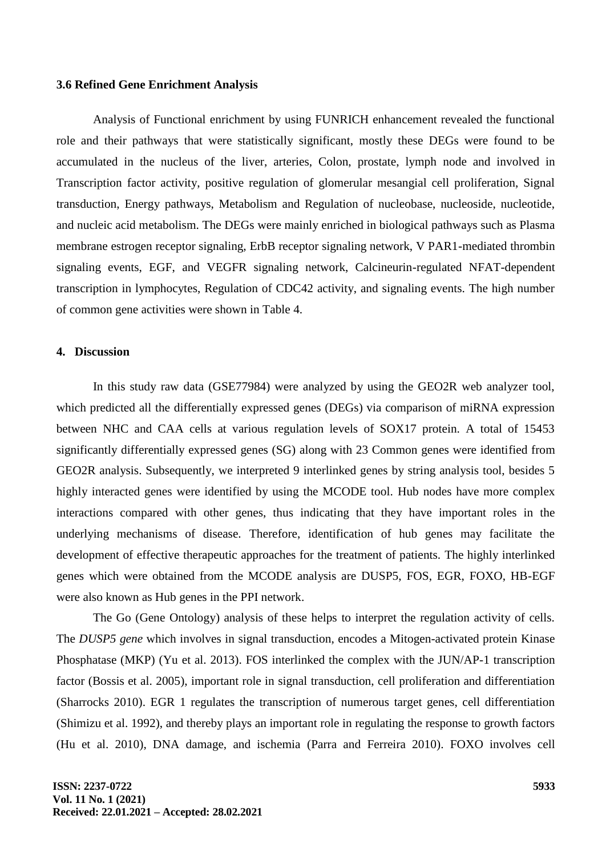#### **3.6 Refined Gene Enrichment Analysis**

Analysis of Functional enrichment by using FUNRICH enhancement revealed the functional role and their pathways that were statistically significant, mostly these DEGs were found to be accumulated in the nucleus of the liver, arteries, Colon, prostate, lymph node and involved in Transcription factor activity, positive regulation of glomerular mesangial cell proliferation, Signal transduction, Energy pathways, Metabolism and Regulation of nucleobase, nucleoside, nucleotide, and nucleic acid metabolism. The DEGs were mainly enriched in biological pathways such as Plasma membrane estrogen receptor signaling, ErbB receptor signaling network, V PAR1-mediated thrombin signaling events, EGF, and VEGFR signaling network, Calcineurin-regulated NFAT-dependent transcription in lymphocytes, Regulation of CDC42 activity, and signaling events. The high number of common gene activities were shown in Table 4.

# **4. Discussion**

In this study raw data (GSE77984) were analyzed by using the GEO2R web analyzer tool, which predicted all the differentially expressed genes (DEGs) via comparison of miRNA expression between NHC and CAA cells at various regulation levels of SOX17 protein. A total of 15453 significantly differentially expressed genes (SG) along with 23 Common genes were identified from GEO2R analysis. Subsequently, we interpreted 9 interlinked genes by string analysis tool, besides 5 highly interacted genes were identified by using the MCODE tool. Hub nodes have more complex interactions compared with other genes, thus indicating that they have important roles in the underlying mechanisms of disease. Therefore, identification of hub genes may facilitate the development of effective therapeutic approaches for the treatment of patients. The highly interlinked genes which were obtained from the MCODE analysis are DUSP5, FOS, EGR, FOXO, HB-EGF were also known as Hub genes in the PPI network.

The Go (Gene Ontology) analysis of these helps to interpret the regulation activity of cells. The *DUSP5 gene* which involves in signal transduction, encodes a Mitogen-activated protein Kinase Phosphatase (MKP) [\(Yu et al. 2013\).](https://paperpile.com/c/DOaQcX/VBBb) FOS interlinked the complex with the JUN/AP-1 transcription factor [\(Bossis et al.](https://paperpile.com/c/DOaQcX/RQA6) 2005), important role in signal transduction, cell proliferation and differentiation [\(Sharrocks 2010\).](https://paperpile.com/c/DOaQcX/orJH) EGR 1 regulates the transcription of numerous target genes, cell differentiation [\(Shimizu et al. 1992\),](https://paperpile.com/c/DOaQcX/dZ4L) and thereby plays an important role in regulating the response to growth factors [\(Hu et al. 2010\),](https://paperpile.com/c/DOaQcX/FxEE) DNA damage, and ischemia [\(Parra and Ferreira 2010\).](https://paperpile.com/c/DOaQcX/LwTb) FOXO involves cell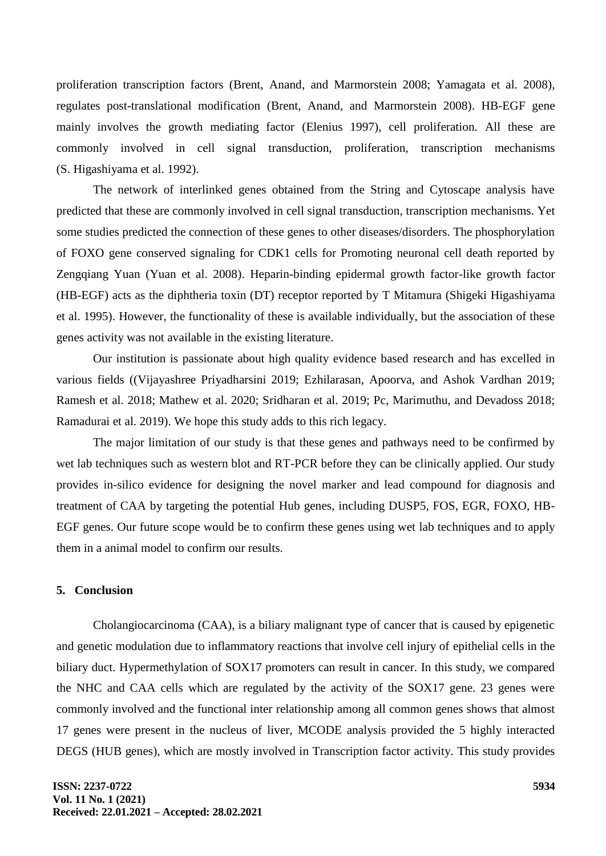proliferation transcription factors (Brent, [Anand, and Marmorstein 2008; Yamagata et al. 2008\),](https://paperpile.com/c/DOaQcX/x4VE+vk0u) regulates post-translational modification [\(Brent, Anand, and Marmorstein 2008\).](https://paperpile.com/c/DOaQcX/x4VE) HB-EGF gene mainly involves the growth mediating factor [\(Elenius 1997\),](https://paperpile.com/c/DOaQcX/Kz4u) cell proliferation. All these are commonly involved in cell signal transduction, proliferation, transcription mechanisms [\(S. Higashiyama et al. 1992\).](https://paperpile.com/c/DOaQcX/9pm4)

The network of interlinked genes obtained from the String and Cytoscape analysis have predicted that these are commonly involved in cell signal transduction, transcription mechanisms. Yet some studies predicted the connection of these genes to other diseases/disorders. The phosphorylation of FOXO gene conserved signaling for CDK1 cells for Promoting neuronal cell death reported by [Zengqiang Yuan](https://pubmed.ncbi.nlm.nih.gov/?term=Yuan+Z&cauthor_id=18356527) [\(Yuan et al. 2008\).](https://paperpile.com/c/DOaQcX/kb0n) Heparin-binding epidermal growth factor-like growth factor (HB-EGF) acts as the diphtheria toxin (DT) receptor reported by [T Mitamura](https://pubmed.ncbi.nlm.nih.gov/?term=Mitamura+T&cauthor_id=7836353) [\(Shigeki Higashiyama](https://paperpile.com/c/DOaQcX/MAem)  [et al. 1995\).](https://paperpile.com/c/DOaQcX/MAem) However, the functionality of these is available individually, but the association of these genes activity was not available in the existing literature.

Our institution is passionate about high quality evidence based research and has excelled in various fields [\(\(Vijayashree Priyadharsini 2019; Ezhilarasan, Apoorva, and Ashok Vardhan 2019;](https://paperpile.com/c/DOaQcX/AObp2+IIiP0+cERwz+BI2mA+Wj4ED+MZrsy+iHAEr)  [Ramesh et al. 2018; Mathew et al. 2020; Sridharan et al. 2019; Pc, Marimuthu, and Devadoss 2018;](https://paperpile.com/c/DOaQcX/AObp2+IIiP0+cERwz+BI2mA+Wj4ED+MZrsy+iHAEr)  [Ramadurai et](https://paperpile.com/c/DOaQcX/AObp2+IIiP0+cERwz+BI2mA+Wj4ED+MZrsy+iHAEr) al. 2019). We hope this study adds to this rich legacy.

The major limitation of our study is that these genes and pathways need to be confirmed by wet lab techniques such as western blot and RT-PCR before they can be clinically applied. Our study provides in-silico evidence for designing the novel marker and lead compound for diagnosis and treatment of CAA by targeting the potential Hub genes, including DUSP5, FOS, EGR, FOXO, HB-EGF genes. Our future scope would be to confirm these genes using wet lab techniques and to apply them in a animal model to confirm our results.

### **5. Conclusion**

Cholangiocarcinoma (CAA), is a biliary malignant type of cancer that is caused by epigenetic and genetic modulation due to inflammatory reactions that involve cell injury of epithelial cells in the biliary duct. Hypermethylation of SOX17 promoters can result in cancer. In this study, we compared the NHC and CAA cells which are regulated by the activity of the SOX17 gene. 23 genes were commonly involved and the functional inter relationship among all common genes shows that almost 17 genes were present in the nucleus of liver, MCODE analysis provided the 5 highly interacted DEGS (HUB genes), which are mostly involved in Transcription factor activity. This study provides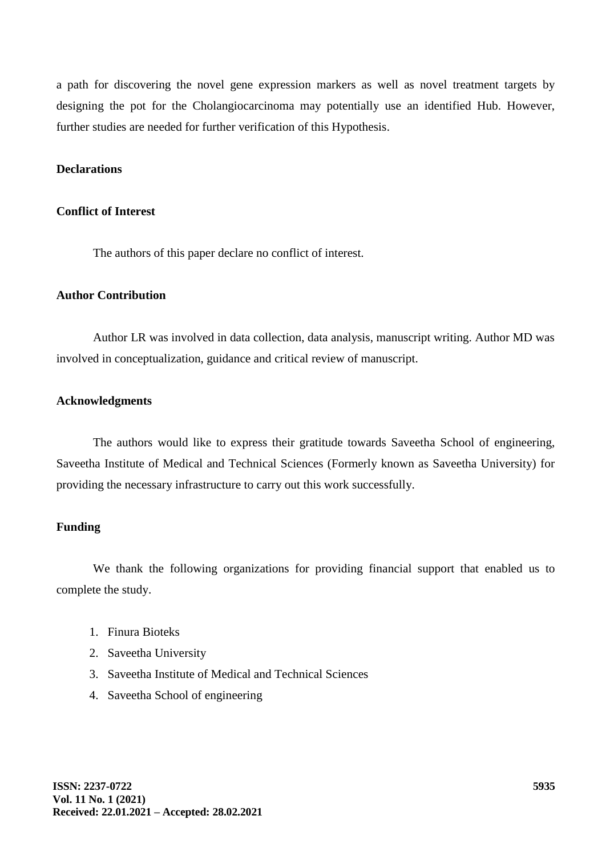a path for discovering the novel gene expression markers as well as novel treatment targets by designing the pot for the Cholangiocarcinoma may potentially use an identified Hub. However, further studies are needed for further verification of this Hypothesis.

### **Declarations**

### **Conflict of Interest**

The authors of this paper declare no conflict of interest.

## **Author Contribution**

Author LR was involved in data collection, data analysis, manuscript writing. Author MD was involved in conceptualization, guidance and critical review of manuscript.

# **Acknowledgments**

The authors would like to express their gratitude towards Saveetha School of engineering, Saveetha Institute of Medical and Technical Sciences (Formerly known as Saveetha University) for providing the necessary infrastructure to carry out this work successfully.

#### **Funding**

We thank the following organizations for providing financial support that enabled us to complete the study.

- 1. Finura Bioteks
- 2. Saveetha University
- 3. Saveetha Institute of Medical and Technical Sciences
- 4. Saveetha School of engineering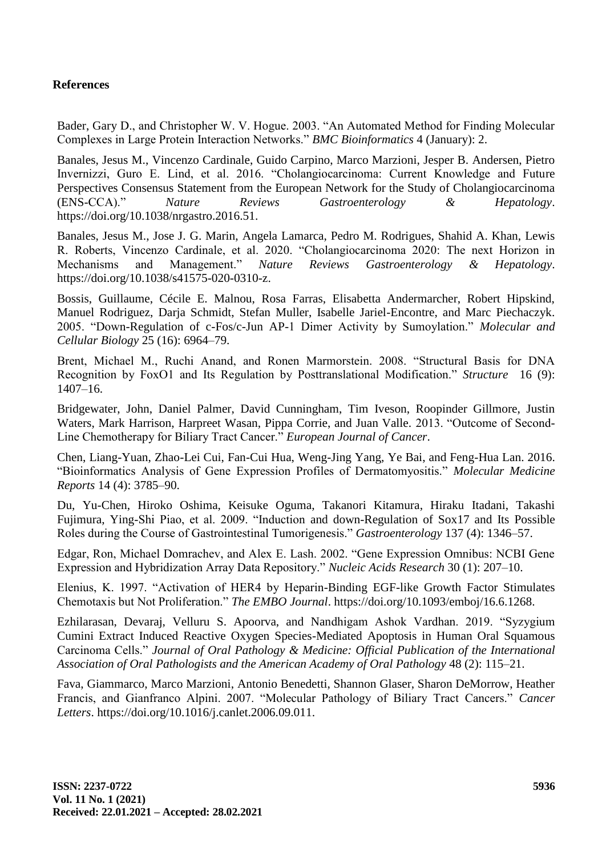# **References**

[Bader, Gary D., and Christopher W. V. Hogue. 2003. "An Automated Method for Finding Molecular](http://paperpile.com/b/DOaQcX/fGQR)  [Complexes in Large Protein Interaction Networks."](http://paperpile.com/b/DOaQcX/fGQR) *[BMC Bioinformatics](http://paperpile.com/b/DOaQcX/fGQR)* [4 \(January\): 2.](http://paperpile.com/b/DOaQcX/fGQR)

[Banales, Jesus M., Vincenzo Cardinale, Guido Carpino, Marco Marzioni, Jesper B. Andersen, Pietro](http://paperpile.com/b/DOaQcX/P7Kc)  [Invernizzi, Guro E. Lind, et al. 2016. "Cholangiocarcinoma: Current Knowledge and Future](http://paperpile.com/b/DOaQcX/P7Kc)  [Perspectives Consensus Statement from the European Network for the Study of Cholangiocarcinoma](http://paperpile.com/b/DOaQcX/P7Kc)  [\(ENS-CCA\)."](http://paperpile.com/b/DOaQcX/P7Kc) *[Nature Reviews Gastroenterology & Hepatology](http://paperpile.com/b/DOaQcX/P7Kc)*[.](http://paperpile.com/b/DOaQcX/P7Kc)  [https://doi.org/10.1038/nrgastro.2016.51.](http://paperpile.com/b/DOaQcX/P7Kc)

Banales, Jesus M., Jose J. G. Marin, [Angela Lamarca, Pedro M. Rodrigues, Shahid A. Khan, Lewis](http://paperpile.com/b/DOaQcX/RPP7)  [R. Roberts, Vincenzo Cardinale, et al. 2020. "Cholangiocarcinoma 2020: The next Horizon in](http://paperpile.com/b/DOaQcX/RPP7)  [Mechanisms and Management."](http://paperpile.com/b/DOaQcX/RPP7) *[Nature Reviews Gastroenterology & Hepatology](http://paperpile.com/b/DOaQcX/RPP7)*[.](http://paperpile.com/b/DOaQcX/RPP7)  [https://doi.org/](http://paperpile.com/b/DOaQcX/RPP7)[10.1038/s41575-020-0310-z.](http://dx.doi.org/10.1038/s41575-020-0310-z)

[Bossis, Guillaume, Cécile E. Malnou, Rosa Farras, Elisabetta Andermarcher, Robert Hipskind,](http://paperpile.com/b/DOaQcX/RQA6)  [Manuel Rodriguez, Darja Schmidt, Stefan Muller, Isabelle Jariel-Encontre, and Marc Piechaczyk.](http://paperpile.com/b/DOaQcX/RQA6)  [2005. "Down-Regulation of c-Fos/c-Jun AP-1 Dimer Activity by Sumoylation."](http://paperpile.com/b/DOaQcX/RQA6) *[Molecular and](http://paperpile.com/b/DOaQcX/RQA6)  [Cellular Biology](http://paperpile.com/b/DOaQcX/RQA6)* [25 \(16\): 6964–79.](http://paperpile.com/b/DOaQcX/RQA6)

[Brent, Michael M., Ruchi Anand, and Ronen Marmorstein. 2008. "Structural Basis for DNA](http://paperpile.com/b/DOaQcX/x4VE)  [Recognition by FoxO1 and Its Regulation by Posttranslational Modification."](http://paperpile.com/b/DOaQcX/x4VE) *[Structure](http://paperpile.com/b/DOaQcX/x4VE)* [16 \(9\):](http://paperpile.com/b/DOaQcX/x4VE)  [1407–16.](http://paperpile.com/b/DOaQcX/x4VE)

[Bridgewater, John, Daniel Palmer, David Cunningham, Tim Iveson, Roopinder Gillmore, Justin](http://paperpile.com/b/DOaQcX/VUvY)  [Waters, Mark Harrison, Harpreet Wasan, Pippa Corrie, and Juan Valle.](http://paperpile.com/b/DOaQcX/VUvY) 2013. "Outcome of Second-[Line Chemotherapy for Biliary Tract Cancer."](http://paperpile.com/b/DOaQcX/VUvY) *[European Journal of Cancer](http://paperpile.com/b/DOaQcX/VUvY)*[.](http://paperpile.com/b/DOaQcX/VUvY)

[Chen, Liang-Yuan, Zhao-Lei Cui, Fan-Cui Hua, Weng-Jing Yang, Ye Bai, and Feng-Hua Lan. 2016.](http://paperpile.com/b/DOaQcX/BF1U)  ["Bioinformatics Analysis of Gene Expression Profiles of Dermatomyositis."](http://paperpile.com/b/DOaQcX/BF1U) *[Molecular Medicine](http://paperpile.com/b/DOaQcX/BF1U)  [Reports](http://paperpile.com/b/DOaQcX/BF1U)* [14 \(4\): 3785–90.](http://paperpile.com/b/DOaQcX/BF1U)

[Du, Yu-Chen, Hiroko Oshima, Keisuke Oguma, Takanori Kitamura, Hiraku Itadani, Takashi](http://paperpile.com/b/DOaQcX/KIJL)  [Fujimura, Ying-Shi Piao, et al. 2009. "Induction](http://paperpile.com/b/DOaQcX/KIJL) and down-Regulation of Sox17 and Its Possible [Roles during the Course of Gastrointestinal Tumorigenesis."](http://paperpile.com/b/DOaQcX/KIJL) *[Gastroenterology](http://paperpile.com/b/DOaQcX/KIJL)* [137 \(4\): 1346–57.](http://paperpile.com/b/DOaQcX/KIJL)

[Edgar, Ron, Michael Domrachev, and Alex E. Lash. 2002. "Gene Expression Omnibus: NCBI Gene](http://paperpile.com/b/DOaQcX/hqYa)  [Expression and Hybridization Array Data Repository."](http://paperpile.com/b/DOaQcX/hqYa) *[Nucleic Acids Research](http://paperpile.com/b/DOaQcX/hqYa)* [30 \(1\): 207–10.](http://paperpile.com/b/DOaQcX/hqYa)

[Elenius, K. 1997. "Activation of HER4 by Heparin-Binding EGF-like Growth Factor Stimulates](http://paperpile.com/b/DOaQcX/Kz4u)  [Chemotaxis but Not Proliferation."](http://paperpile.com/b/DOaQcX/Kz4u) *[The EMBO Journal](http://paperpile.com/b/DOaQcX/Kz4u)*[. https://doi.org/](http://paperpile.com/b/DOaQcX/Kz4u)[10.1093/emboj/16.6.1268.](http://dx.doi.org/10.1093/emboj/16.6.1268)

[Ezhilarasan, Devaraj, Velluru S. Apoorva, and Nandhigam Ashok Vardhan. 2019. "Syzygium](http://paperpile.com/b/DOaQcX/IIiP0)  [Cumini Extract Induced Reactive Oxygen Species-Mediated Apoptosis in Human Oral Squamous](http://paperpile.com/b/DOaQcX/IIiP0)  [Carcinoma Cells."](http://paperpile.com/b/DOaQcX/IIiP0) *[Journal of Oral Pathology & Medicine: Official Publication of the International](http://paperpile.com/b/DOaQcX/IIiP0)  [Association of Oral Pathologists and the American Academy of Oral Pathology](http://paperpile.com/b/DOaQcX/IIiP0)* [48 \(2\): 115–21.](http://paperpile.com/b/DOaQcX/IIiP0)

[Fava, Giammarco, Marco Marzioni, Antonio Benedetti, Shannon Glaser, Sharon DeMorrow, Heather](http://paperpile.com/b/DOaQcX/Twg3)  [Francis, and Gianfranco Alpini. 2007. "Molecular Pathology of Biliary Tract Cancers."](http://paperpile.com/b/DOaQcX/Twg3) *[Cancer](http://paperpile.com/b/DOaQcX/Twg3)  [Letters](http://paperpile.com/b/DOaQcX/Twg3)*[. https://doi.org/10.1016/j.canlet.2006.09.011.](http://paperpile.com/b/DOaQcX/Twg3)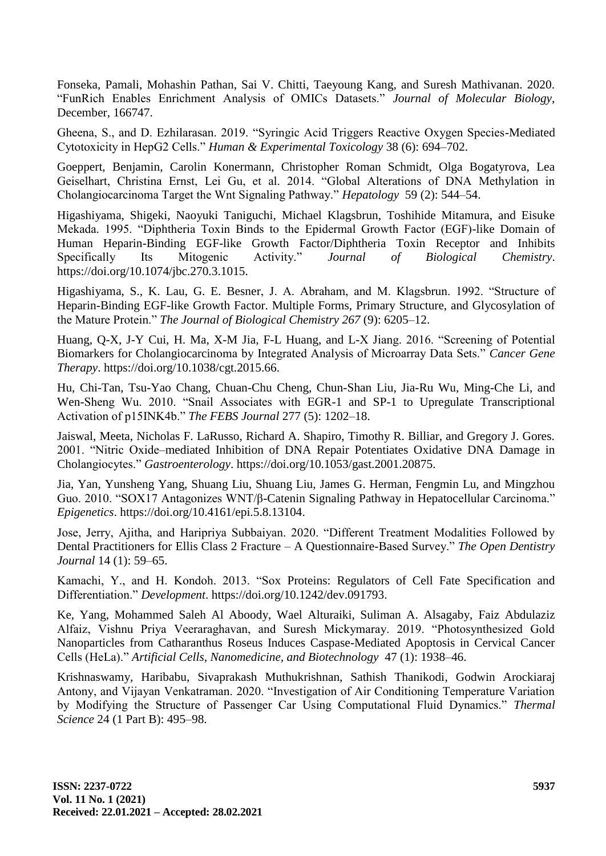[Fonseka, Pamali, Mohashin Pathan, Sai V. Chitti, Taeyoung Kang, and Suresh Mathivanan. 2020.](http://paperpile.com/b/DOaQcX/KeNp)  ["FunRich Enables Enrichment Analysis of OMICs Datasets."](http://paperpile.com/b/DOaQcX/KeNp) *[Journal of Molecular Biology](http://paperpile.com/b/DOaQcX/KeNp)*[,](http://paperpile.com/b/DOaQcX/KeNp)  [December, 166747.](http://paperpile.com/b/DOaQcX/KeNp)

[Gheena, S., and D. Ezhilarasan. 2019. "Syringic Acid Triggers Reactive Oxygen Species-Mediated](http://paperpile.com/b/DOaQcX/cU4wz)  [Cytotoxicity in HepG2 Cells."](http://paperpile.com/b/DOaQcX/cU4wz) *[Human & Experimental Toxicology](http://paperpile.com/b/DOaQcX/cU4wz)* [38 \(6\): 694–702.](http://paperpile.com/b/DOaQcX/cU4wz)

[Goeppert, Benjamin, Carolin Konermann, Christopher Roman Schmidt, Olga Bogatyrova, Lea](http://paperpile.com/b/DOaQcX/vtEg)  [Geiselhart, Christina Ernst, Lei Gu, et al. 2014. "Global Alterations of DNA Methylation in](http://paperpile.com/b/DOaQcX/vtEg)  [Cholangiocarcinoma Target the Wnt Signaling Pathway."](http://paperpile.com/b/DOaQcX/vtEg) *[Hepatology](http://paperpile.com/b/DOaQcX/vtEg)* [59 \(2\): 544–54.](http://paperpile.com/b/DOaQcX/vtEg)

[Higashiyama, Shigeki, Naoyuki Taniguchi, Michael Klagsbrun, Toshihide Mitamura, and Eisuke](http://paperpile.com/b/DOaQcX/MAem)  [Mekada. 1995. "Diphtheria Toxin Binds to the Epidermal Growth Factor \(EGF\)-like Domain of](http://paperpile.com/b/DOaQcX/MAem)  [Human Heparin-Binding EGF-like Growth Factor/Diphtheria Toxin Receptor and Inhibits](http://paperpile.com/b/DOaQcX/MAem)  [Specifically Its Mitogenic Activity."](http://paperpile.com/b/DOaQcX/MAem) *[Journal of Biological Chemistry](http://paperpile.com/b/DOaQcX/MAem)*[.](http://paperpile.com/b/DOaQcX/MAem)  [https://doi.org/10.1074/jbc.270.3.1015.](http://paperpile.com/b/DOaQcX/MAem)

[Higashiyama, S., K. Lau, G. E. Besner, J. A. Abraham, and M. Klagsbrun. 1992. "Structure of](http://paperpile.com/b/DOaQcX/9pm4)  [Heparin-Binding EGF-like Growth Factor. Multiple Forms, Primary Structure, and Glycosylation of](http://paperpile.com/b/DOaQcX/9pm4)  [the Mature Protein."](http://paperpile.com/b/DOaQcX/9pm4) *[The Journal of Biological Chemistry](http://paperpile.com/b/DOaQcX/9pm4) 267* [\(9\): 6205–12.](http://paperpile.com/b/DOaQcX/9pm4)

[Huang, Q-X, J-Y Cui, H. Ma, X-M Jia, F-L Huang, and L-X Jiang. 2016. "Screening of Potential](http://paperpile.com/b/DOaQcX/xwYP)  [Biomarkers for Cholangiocarcinoma by Integrated Analysis of Microarray Data Sets."](http://paperpile.com/b/DOaQcX/xwYP) *[Cancer Gene](http://paperpile.com/b/DOaQcX/xwYP)  [Therapy](http://paperpile.com/b/DOaQcX/xwYP)*[. https://doi.org/10.1038/cgt.2015.66.](http://paperpile.com/b/DOaQcX/xwYP)

[Hu, Chi-Tan, Tsu-Yao Chang, Chuan-Chu Cheng, Chun-Shan Liu, Jia-Ru Wu, Ming-Che](http://paperpile.com/b/DOaQcX/FxEE) Li, and [Wen-Sheng Wu. 2010. "Snail Associates with EGR-1 and SP-1 to Upregulate Transcriptional](http://paperpile.com/b/DOaQcX/FxEE)  [Activation of p15INK4b."](http://paperpile.com/b/DOaQcX/FxEE) *[The FEBS Journal](http://paperpile.com/b/DOaQcX/FxEE)* [277 \(5\): 1202–18.](http://paperpile.com/b/DOaQcX/FxEE)

[Jaiswal, Meeta, Nicholas F. LaRusso, Richard A. Shapiro, Timothy R. Billiar, and Gregory J. Gores.](http://paperpile.com/b/DOaQcX/BPZ8)  [2001. "Nitric Oxide–mediated Inhibition of DNA Repair Potentiates Oxidative DNA Damage in](http://paperpile.com/b/DOaQcX/BPZ8)  [Cholangiocytes."](http://paperpile.com/b/DOaQcX/BPZ8) *[Gastroenterology](http://paperpile.com/b/DOaQcX/BPZ8)*[. https://doi.org/10.1053/gast.2001.20875.](http://paperpile.com/b/DOaQcX/BPZ8)

[Jia, Yan, Yunsheng Yang, Shuang Liu, Shuang Liu, James G. Herman, Fengmin Lu, and Mingzhou](http://paperpile.com/b/DOaQcX/u62Q)  [Guo. 2010. "SOX17 Antagonizes WNT/β-Catenin Signaling Pathway in Hepatocellular Carcinoma."](http://paperpile.com/b/DOaQcX/u62Q)  *[Epigenetics](http://paperpile.com/b/DOaQcX/u62Q)*[. https://doi.org/](http://paperpile.com/b/DOaQcX/u62Q)[10.4161/epi.5.8.13104.](http://dx.doi.org/10.4161/epi.5.8.13104)

[Jose, Jerry, Ajitha, and Haripriya Subbaiyan. 2020. "Different Treatment Modalities Followed by](http://paperpile.com/b/DOaQcX/ZbNQk)  [Dental Practitioners for Ellis Class 2 Fracture –](http://paperpile.com/b/DOaQcX/ZbNQk) A Questionnaire-Based Survey." *[The Open Dentistry](http://paperpile.com/b/DOaQcX/ZbNQk)  [Journal](http://paperpile.com/b/DOaQcX/ZbNQk)* [14 \(1\): 59–65.](http://paperpile.com/b/DOaQcX/ZbNQk)

[Kamachi, Y., and H. Kondoh. 2013. "Sox Proteins: Regulators of Cell Fate Specification and](http://paperpile.com/b/DOaQcX/dlAH)  [Differentiation."](http://paperpile.com/b/DOaQcX/dlAH) *[Development](http://paperpile.com/b/DOaQcX/dlAH)*[. https://doi.org/](http://paperpile.com/b/DOaQcX/dlAH)[10.1242/dev.091793.](http://dx.doi.org/10.1242/dev.091793)

[Ke, Yang, Mohammed Saleh Al Aboody, Wael Alturaiki, Suliman A. Alsagaby, Faiz Abdulaziz](http://paperpile.com/b/DOaQcX/hNlfr)  [Alfaiz, Vishnu Priya Veeraraghavan, and Suresh Mickymaray. 2019. "Photosynthesized Gold](http://paperpile.com/b/DOaQcX/hNlfr)  [Nanoparticles from Catharanthus Roseus Induces Caspase-Mediated Apoptosis in Cervical Cancer](http://paperpile.com/b/DOaQcX/hNlfr)  [Cells \(HeLa\)."](http://paperpile.com/b/DOaQcX/hNlfr) *[Artificial Cells, Nanomedicine, and Biotechnology](http://paperpile.com/b/DOaQcX/hNlfr)* [47 \(1\): 1938–46.](http://paperpile.com/b/DOaQcX/hNlfr)

[Krishnaswamy, Haribabu, Sivaprakash Muthukrishnan, Sathish Thanikodi, Godwin Arockiaraj](http://paperpile.com/b/DOaQcX/OnwcJ)  [Antony, and Vijayan Venkatraman. 2020. "Investigation of Air Conditioning Temperature Variation](http://paperpile.com/b/DOaQcX/OnwcJ)  [by Modifying the Structure of Passenger Car Using Computational Fluid Dynamics."](http://paperpile.com/b/DOaQcX/OnwcJ) *[Thermal](http://paperpile.com/b/DOaQcX/OnwcJ)  [Science](http://paperpile.com/b/DOaQcX/OnwcJ)* [24 \(1 Part B\): 495–98.](http://paperpile.com/b/DOaQcX/OnwcJ)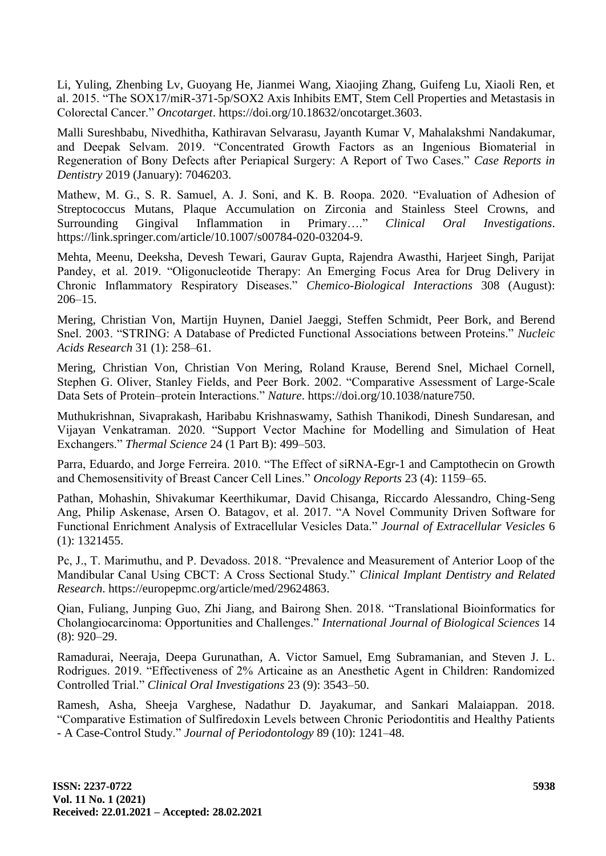[Li, Yuling, Zhenbing Lv, Guoyang He, Jianmei Wang, Xiaojing Zhang, Guifeng Lu, Xiaoli Ren, et](http://paperpile.com/b/DOaQcX/eOKK)  [al. 2015. "The SOX17/miR-371-5p/SOX2 Axis Inhibits EMT, Stem Cell Properties and Metastasis in](http://paperpile.com/b/DOaQcX/eOKK)  [Colorectal Cancer."](http://paperpile.com/b/DOaQcX/eOKK) *[Oncotarget](http://paperpile.com/b/DOaQcX/eOKK)*[. https://doi.org/10.18632/oncotarget.3603.](http://paperpile.com/b/DOaQcX/eOKK)

[Malli Sureshbabu, Nivedhitha, Kathiravan Selvarasu, Jayanth Kumar V, Mahalakshmi Nandakumar,](http://paperpile.com/b/DOaQcX/aVdhP)  [and Deepak Selvam. 2019. "Concentrated Growth Factors as an Ingenious Biomaterial in](http://paperpile.com/b/DOaQcX/aVdhP)  [Regeneration of Bony Defects after Periapical Surgery: A Report of Two Cases."](http://paperpile.com/b/DOaQcX/aVdhP) *[Case Reports in](http://paperpile.com/b/DOaQcX/aVdhP)  [Dentistry](http://paperpile.com/b/DOaQcX/aVdhP)* [2019 \(January\): 7046203.](http://paperpile.com/b/DOaQcX/aVdhP)

[Mathew, M. G., S. R. Samuel, A. J. Soni, and K. B. Roopa. 2020. "Evaluation of Adhesion of](http://paperpile.com/b/DOaQcX/BI2mA)  [Streptococcus Mutans, Plaque Accumulation on Zirconia and Stainless Steel Crowns, and](http://paperpile.com/b/DOaQcX/BI2mA)  [Surrounding Gingival Inflammation in Primary…."](http://paperpile.com/b/DOaQcX/BI2mA) *[Clinical Oral Investigations](http://paperpile.com/b/DOaQcX/BI2mA)*[.](http://paperpile.com/b/DOaQcX/BI2mA)  [https://link.springer.com/article/10.1007/s00784-020-03204-9.](https://link.springer.com/article/10.1007/s00784-020-03204-9)

[Mehta, Meenu, Deeksha, Devesh Tewari, Gaurav Gupta, Rajendra Awasthi, Harjeet Singh, Parijat](http://paperpile.com/b/DOaQcX/tlhBa)  [Pandey, et al. 2019. "Oligonucleotide Therapy: An Emerging Focus Area for Drug Delivery in](http://paperpile.com/b/DOaQcX/tlhBa)  [Chronic Inflammatory Respiratory Diseases."](http://paperpile.com/b/DOaQcX/tlhBa) *[Chemico-Biological Interactions](http://paperpile.com/b/DOaQcX/tlhBa)* [308 \(August\):](http://paperpile.com/b/DOaQcX/tlhBa)  [206–15.](http://paperpile.com/b/DOaQcX/tlhBa)

[Mering, Christian Von, Martijn Huynen, Daniel Jaeggi, Steffen Schmidt, Peer Bork, and Berend](http://paperpile.com/b/DOaQcX/f71N)  [Snel. 2003. "STRING: A Database of Predicted Functional Associations between Proteins."](http://paperpile.com/b/DOaQcX/f71N) *[Nucleic](http://paperpile.com/b/DOaQcX/f71N)  [Acids Research](http://paperpile.com/b/DOaQcX/f71N)* [31 \(1\): 258–61.](http://paperpile.com/b/DOaQcX/f71N)

[Mering, Christian Von, Christian Von Mering, Roland Krause, Berend Snel, Michael Cornell,](http://paperpile.com/b/DOaQcX/iM3K)  [Stephen G. Oliver, Stanley Fields, and Peer Bork. 2002. "Comparative Assessment of Large-Scale](http://paperpile.com/b/DOaQcX/iM3K)  [Data Sets of Protein–protein Interactions."](http://paperpile.com/b/DOaQcX/iM3K) *[Nature](http://paperpile.com/b/DOaQcX/iM3K)*[. https://doi.org/10.1038/nature750.](http://paperpile.com/b/DOaQcX/iM3K)

[Muthukrishnan, Sivaprakash, Haribabu Krishnaswamy, Sathish Thanikodi, Dinesh Sundaresan, and](http://paperpile.com/b/DOaQcX/tKLDo)  [Vijayan Venkatraman. 2020. "Support Vector Machine for](http://paperpile.com/b/DOaQcX/tKLDo) Modelling and Simulation of Heat [Exchangers."](http://paperpile.com/b/DOaQcX/tKLDo) *[Thermal Science](http://paperpile.com/b/DOaQcX/tKLDo)* [24 \(1 Part B\): 499–503.](http://paperpile.com/b/DOaQcX/tKLDo)

[Parra, Eduardo, and Jorge Ferreira. 2010. "The Effect of siRNA-Egr-1 and Camptothecin on Growth](http://paperpile.com/b/DOaQcX/LwTb)  [and Chemosensitivity of Breast Cancer Cell Lines."](http://paperpile.com/b/DOaQcX/LwTb) *[Oncology Reports](http://paperpile.com/b/DOaQcX/LwTb)* [23 \(4\): 1159–65.](http://paperpile.com/b/DOaQcX/LwTb)

[Pathan, Mohashin, Shivakumar Keerthikumar, David Chisanga, Riccardo Alessandro, Ching-Seng](http://paperpile.com/b/DOaQcX/8S7n)  [Ang, Philip Askenase, Arsen O. Batagov, et al. 2017. "A Novel Community Driven Software for](http://paperpile.com/b/DOaQcX/8S7n)  [Functional Enrichment Analysis of Extracellular Vesicles Data."](http://paperpile.com/b/DOaQcX/8S7n) *[Journal of Extracellular Vesicles](http://paperpile.com/b/DOaQcX/8S7n)* [6](http://paperpile.com/b/DOaQcX/8S7n)  [\(1\): 1321455.](http://paperpile.com/b/DOaQcX/8S7n)

[Pc, J., T. Marimuthu, and P. Devadoss. 2018. "Prevalence and Measurement of Anterior Loop of the](http://paperpile.com/b/DOaQcX/MZrsy)  [Mandibular Canal Using CBCT: A Cross Sectional Study."](http://paperpile.com/b/DOaQcX/MZrsy) *[Clinical Implant Dentistry and Related](http://paperpile.com/b/DOaQcX/MZrsy)  [Research](http://paperpile.com/b/DOaQcX/MZrsy)*[. https://europepmc.org/article/med/29624863.](http://paperpile.com/b/DOaQcX/MZrsy)

[Qian, Fuliang, Junping Guo, Zhi Jiang, and Bairong Shen. 2018. "Translational Bioinformatics for](http://paperpile.com/b/DOaQcX/rjR5)  [Cholangiocarcinoma: Opportunities and Challenges."](http://paperpile.com/b/DOaQcX/rjR5) *[International Journal of Biological Sciences](http://paperpile.com/b/DOaQcX/rjR5)* [14](http://paperpile.com/b/DOaQcX/rjR5)  [\(8\): 920–29.](http://paperpile.com/b/DOaQcX/rjR5)

[Ramadurai, Neeraja, Deepa Gurunathan, A. Victor Samuel, Emg Subramanian, and Steven J. L.](http://paperpile.com/b/DOaQcX/iHAEr)  [Rodrigues. 2019. "Effectiveness of 2% Articaine as an Anesthetic Agent in Children: Randomized](http://paperpile.com/b/DOaQcX/iHAEr)  [Controlled Trial."](http://paperpile.com/b/DOaQcX/iHAEr) *[Clinical Oral Investigations](http://paperpile.com/b/DOaQcX/iHAEr)* [23 \(9\): 3543–50.](http://paperpile.com/b/DOaQcX/iHAEr)

[Ramesh, Asha, Sheeja Varghese, Nadathur D. Jayakumar, and Sankari Malaiappan. 2018.](http://paperpile.com/b/DOaQcX/cERwz)  ["Comparative Estimation of Sulfiredoxin Levels between Chronic Periodontitis and Healthy Patients](http://paperpile.com/b/DOaQcX/cERwz)  - A [Case-Control Study."](http://paperpile.com/b/DOaQcX/cERwz) *[Journal of Periodontology](http://paperpile.com/b/DOaQcX/cERwz)* [89 \(10\): 1241–48.](http://paperpile.com/b/DOaQcX/cERwz)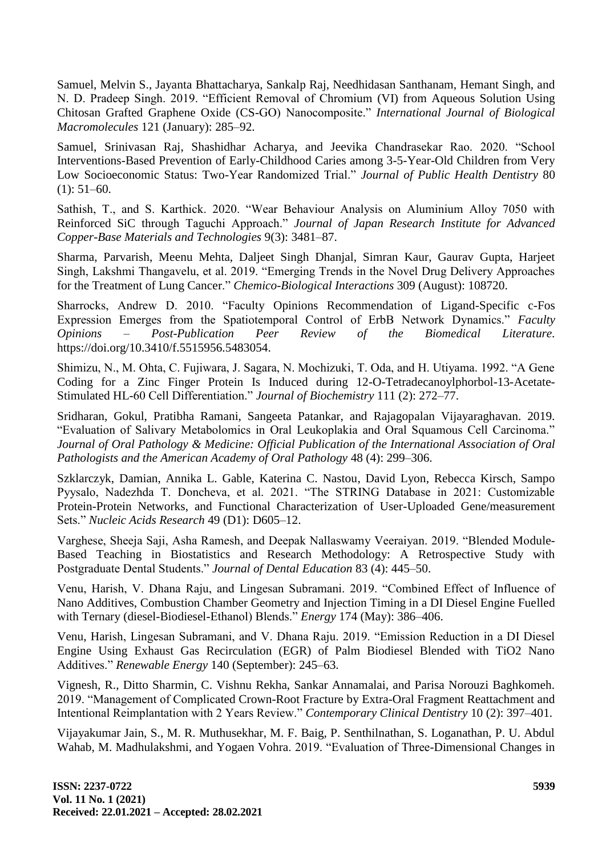[Samuel, Melvin S., Jayanta Bhattacharya, Sankalp Raj, Needhidasan Santhanam, Hemant Singh, and](http://paperpile.com/b/DOaQcX/kIdCL)  [N. D. Pradeep Singh. 2019. "Efficient Removal of Chromium](http://paperpile.com/b/DOaQcX/kIdCL) (VI) from Aqueous Solution Using [Chitosan Grafted Graphene Oxide \(CS-GO\) Nanocomposite."](http://paperpile.com/b/DOaQcX/kIdCL) *[International Journal of Biological](http://paperpile.com/b/DOaQcX/kIdCL)  [Macromolecules](http://paperpile.com/b/DOaQcX/kIdCL)* [121 \(January\): 285–92.](http://paperpile.com/b/DOaQcX/kIdCL)

[Samuel, Srinivasan Raj, Shashidhar Acharya, and Jeevika Chandrasekar Rao. 2020. "School](http://paperpile.com/b/DOaQcX/tAmVW)  [Interventions-Based Prevention of Early-Childhood Caries among 3-5-Year-Old Children from Very](http://paperpile.com/b/DOaQcX/tAmVW)  [Low Socioeconomic Status: Two-Year Randomized Trial."](http://paperpile.com/b/DOaQcX/tAmVW) *[Journal of Public Health Dentistry](http://paperpile.com/b/DOaQcX/tAmVW)* [80](http://paperpile.com/b/DOaQcX/tAmVW)   $(1): 51-60.$ 

[Sathish, T., and S. Karthick. 2020. "Wear Behaviour Analysis on Aluminium Alloy 7050 with](http://paperpile.com/b/DOaQcX/zGO0d)  Reinforced SiC [through Taguchi Approach."](http://paperpile.com/b/DOaQcX/zGO0d) *[Journal of Japan Research Institute for Advanced](http://paperpile.com/b/DOaQcX/zGO0d)  [Copper-Base Materials and Technologies](http://paperpile.com/b/DOaQcX/zGO0d)* [9\(3\): 3481–87.](http://paperpile.com/b/DOaQcX/zGO0d)

[Sharma, Parvarish, Meenu Mehta, Daljeet Singh Dhanjal, Simran Kaur, Gaurav Gupta, Harjeet](http://paperpile.com/b/DOaQcX/wopV2)  [Singh, Lakshmi Thangavelu, et al. 2019. "Emerging Trends in the Novel Drug Delivery Approaches](http://paperpile.com/b/DOaQcX/wopV2)  [for the Treatment of Lung Cancer."](http://paperpile.com/b/DOaQcX/wopV2) *[Chemico-Biological Interactions](http://paperpile.com/b/DOaQcX/wopV2)* [309 \(August\): 108720.](http://paperpile.com/b/DOaQcX/wopV2)

[Sharrocks, Andrew D. 2010. "Faculty Opinions Recommendation of Ligand-Specific c-Fos](http://paperpile.com/b/DOaQcX/orJH)  [Expression Emerges from the Spatiotemporal Control of ErbB Network Dynamics."](http://paperpile.com/b/DOaQcX/orJH) *[Faculty](http://paperpile.com/b/DOaQcX/orJH)  Opinions – [Post-Publication Peer Review of the Biomedical Literature](http://paperpile.com/b/DOaQcX/orJH)*[.](http://paperpile.com/b/DOaQcX/orJH)  [https://doi.org/](http://paperpile.com/b/DOaQcX/orJH)[10.3410/f.5515956.5483054.](http://dx.doi.org/10.3410/f.5515956.5483054)

[Shimizu, N., M. Ohta, C. Fujiwara, J. Sagara, N. Mochizuki, T. Oda, and H. Utiyama. 1992. "A Gene](http://paperpile.com/b/DOaQcX/dZ4L)  [Coding for a Zinc Finger Protein Is Induced during 12-O-Tetradecanoylphorbol-13-Acetate-](http://paperpile.com/b/DOaQcX/dZ4L)[Stimulated HL-60 Cell Differentiation."](http://paperpile.com/b/DOaQcX/dZ4L) *[Journal of Biochemistry](http://paperpile.com/b/DOaQcX/dZ4L)* [111 \(2\): 272–77.](http://paperpile.com/b/DOaQcX/dZ4L)

[Sridharan, Gokul, Pratibha Ramani, Sangeeta Patankar, and Rajagopalan Vijayaraghavan. 2019.](http://paperpile.com/b/DOaQcX/Wj4ED)  ["Evaluation of Salivary Metabolomics in Oral Leukoplakia and Oral Squamous Cell Carcinoma."](http://paperpile.com/b/DOaQcX/Wj4ED)  *[Journal of Oral Pathology & Medicine: Official Publication of the International Association of Oral](http://paperpile.com/b/DOaQcX/Wj4ED)  [Pathologists and the American Academy of Oral Pathology](http://paperpile.com/b/DOaQcX/Wj4ED)* [48 \(4\): 299–306.](http://paperpile.com/b/DOaQcX/Wj4ED)

[Szklarczyk, Damian, Annika L. Gable, Katerina C. Nastou, David Lyon, Rebecca Kirsch, Sampo](http://paperpile.com/b/DOaQcX/AOJm)  [Pyysalo, Nadezhda T. Doncheva, et al. 2021. "The STRING Database in 2021: Customizable](http://paperpile.com/b/DOaQcX/AOJm)  [Protein-Protein Networks, and Functional Characterization of User-Uploaded Gene/measurement](http://paperpile.com/b/DOaQcX/AOJm)  [Sets."](http://paperpile.com/b/DOaQcX/AOJm) *[Nucleic Acids Research](http://paperpile.com/b/DOaQcX/AOJm)* [49 \(D1\): D605–12.](http://paperpile.com/b/DOaQcX/AOJm)

[Varghese, Sheeja Saji, Asha Ramesh, and Deepak Nallaswamy Veeraiyan. 2019. "Blended Module-](http://paperpile.com/b/DOaQcX/fEsW6)[Based Teaching in Biostatistics and Research Methodology: A Retrospective Study with](http://paperpile.com/b/DOaQcX/fEsW6)  [Postgraduate Dental Students."](http://paperpile.com/b/DOaQcX/fEsW6) *[Journal of Dental Education](http://paperpile.com/b/DOaQcX/fEsW6)* [83 \(4\): 445–50.](http://paperpile.com/b/DOaQcX/fEsW6)

[Venu, Harish, V. Dhana Raju, and Lingesan Subramani. 2019. "Combined Effect of Influence of](http://paperpile.com/b/DOaQcX/IhKSb)  [Nano Additives, Combustion Chamber Geometry and Injection Timing in a DI Diesel Engine Fuelled](http://paperpile.com/b/DOaQcX/IhKSb)  [with Ternary \(diesel-Biodiesel-Ethanol\) Blends."](http://paperpile.com/b/DOaQcX/IhKSb) *[Energy](http://paperpile.com/b/DOaQcX/IhKSb)* [174 \(May\): 386–406.](http://paperpile.com/b/DOaQcX/IhKSb)

[Venu, Harish, Lingesan Subramani, and V. Dhana Raju. 2019. "Emission Reduction in a DI Diesel](http://paperpile.com/b/DOaQcX/RMBCl)  [Engine Using Exhaust Gas Recirculation \(EGR\) of Palm Biodiesel Blended with TiO2 Nano](http://paperpile.com/b/DOaQcX/RMBCl)  [Additives."](http://paperpile.com/b/DOaQcX/RMBCl) *[Renewable Energy](http://paperpile.com/b/DOaQcX/RMBCl)* [140 \(September\): 245–63.](http://paperpile.com/b/DOaQcX/RMBCl)

[Vignesh, R., Ditto Sharmin, C. Vishnu Rekha, Sankar Annamalai, and Parisa Norouzi Baghkomeh.](http://paperpile.com/b/DOaQcX/D0u2G)  [2019. "Management of Complicated Crown-Root Fracture by Extra-Oral Fragment Reattachment and](http://paperpile.com/b/DOaQcX/D0u2G)  [Intentional Reimplantation with 2 Years Review."](http://paperpile.com/b/DOaQcX/D0u2G) *[Contemporary Clinical Dentistry](http://paperpile.com/b/DOaQcX/D0u2G)* 10 [\(2\): 397–401.](http://paperpile.com/b/DOaQcX/D0u2G)

[Vijayakumar Jain, S., M. R. Muthusekhar, M. F. Baig, P. Senthilnathan, S. Loganathan, P. U. Abdul](http://paperpile.com/b/DOaQcX/Gqb2V)  [Wahab, M. Madhulakshmi, and Yogaen Vohra. 2019. "Evaluation of Three-Dimensional Changes in](http://paperpile.com/b/DOaQcX/Gqb2V)